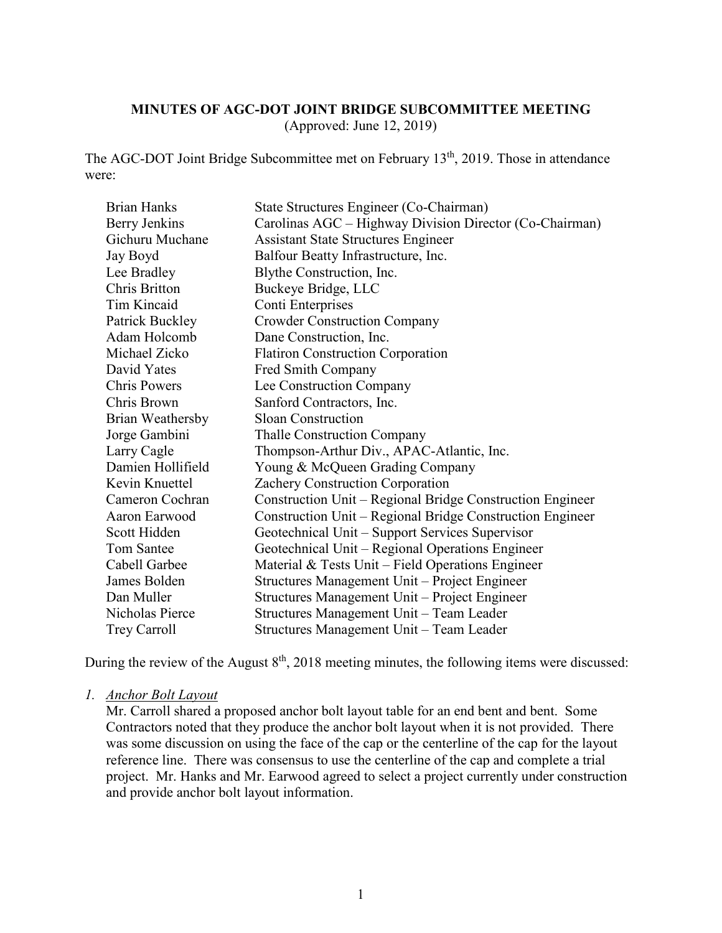## **MINUTES OF AGC-DOT JOINT BRIDGE SUBCOMMITTEE MEETING**

(Approved: June 12, 2019)

The AGC-DOT Joint Bridge Subcommittee met on February 13th, 2019. Those in attendance were:

| <b>Brian Hanks</b>  | State Structures Engineer (Co-Chairman)                   |
|---------------------|-----------------------------------------------------------|
| Berry Jenkins       | Carolinas AGC – Highway Division Director (Co-Chairman)   |
| Gichuru Muchane     | <b>Assistant State Structures Engineer</b>                |
| Jay Boyd            | Balfour Beatty Infrastructure, Inc.                       |
| Lee Bradley         | Blythe Construction, Inc.                                 |
| Chris Britton       | Buckeye Bridge, LLC                                       |
| Tim Kincaid         | Conti Enterprises                                         |
| Patrick Buckley     | <b>Crowder Construction Company</b>                       |
| Adam Holcomb        | Dane Construction, Inc.                                   |
| Michael Zicko       | <b>Flatiron Construction Corporation</b>                  |
| David Yates         | Fred Smith Company                                        |
| <b>Chris Powers</b> | Lee Construction Company                                  |
| Chris Brown         | Sanford Contractors, Inc.                                 |
| Brian Weathersby    | <b>Sloan Construction</b>                                 |
| Jorge Gambini       | <b>Thalle Construction Company</b>                        |
| Larry Cagle         | Thompson-Arthur Div., APAC-Atlantic, Inc.                 |
| Damien Hollifield   | Young & McQueen Grading Company                           |
| Kevin Knuettel      | Zachery Construction Corporation                          |
| Cameron Cochran     | Construction Unit - Regional Bridge Construction Engineer |
| Aaron Earwood       | Construction Unit – Regional Bridge Construction Engineer |
| Scott Hidden        | Geotechnical Unit – Support Services Supervisor           |
| Tom Santee          | Geotechnical Unit – Regional Operations Engineer          |
| Cabell Garbee       | Material $&$ Tests Unit – Field Operations Engineer       |
| James Bolden        | Structures Management Unit - Project Engineer             |
| Dan Muller          | Structures Management Unit – Project Engineer             |
| Nicholas Pierce     | Structures Management Unit - Team Leader                  |
| Trey Carroll        | Structures Management Unit - Team Leader                  |

During the review of the August  $8<sup>th</sup>$ , 2018 meeting minutes, the following items were discussed:

#### *1. Anchor Bolt Layout*

Mr. Carroll shared a proposed anchor bolt layout table for an end bent and bent. Some Contractors noted that they produce the anchor bolt layout when it is not provided. There was some discussion on using the face of the cap or the centerline of the cap for the layout reference line. There was consensus to use the centerline of the cap and complete a trial project. Mr. Hanks and Mr. Earwood agreed to select a project currently under construction and provide anchor bolt layout information.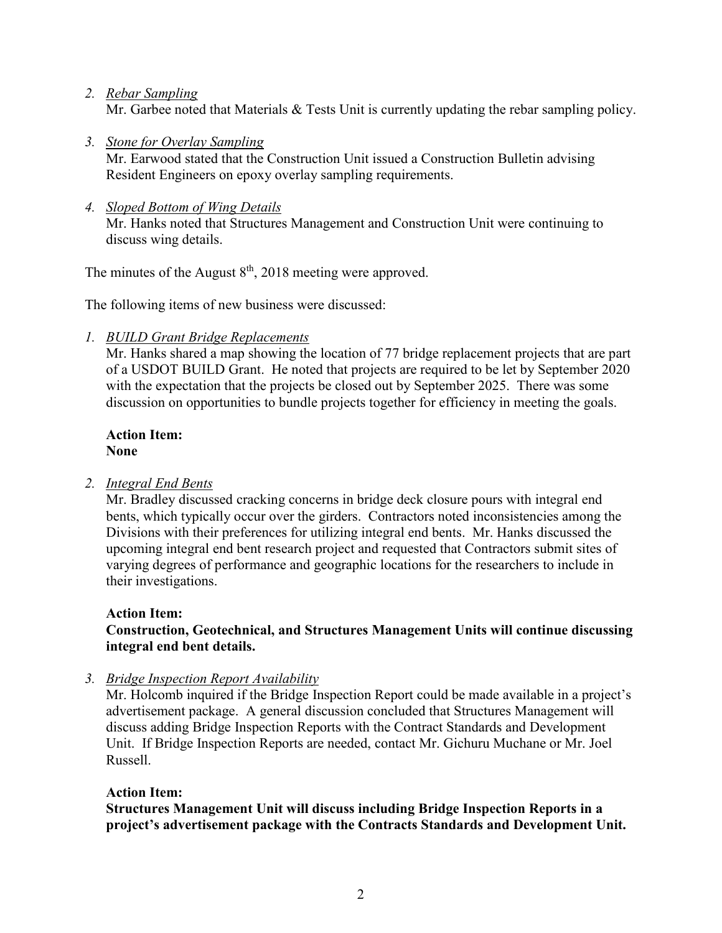*2. Rebar Sampling*

Mr. Garbee noted that Materials & Tests Unit is currently updating the rebar sampling policy.

*3. Stone for Overlay Sampling*

Mr. Earwood stated that the Construction Unit issued a Construction Bulletin advising Resident Engineers on epoxy overlay sampling requirements.

*4. Sloped Bottom of Wing Details*

Mr. Hanks noted that Structures Management and Construction Unit were continuing to discuss wing details.

The minutes of the August  $8<sup>th</sup>$ , 2018 meeting were approved.

The following items of new business were discussed:

*1. BUILD Grant Bridge Replacements*

Mr. Hanks shared a map showing the location of 77 bridge replacement projects that are part of a USDOT BUILD Grant. He noted that projects are required to be let by September 2020 with the expectation that the projects be closed out by September 2025. There was some discussion on opportunities to bundle projects together for efficiency in meeting the goals.

### **Action Item: None**

# *2. Integral End Bents*

Mr. Bradley discussed cracking concerns in bridge deck closure pours with integral end bents, which typically occur over the girders. Contractors noted inconsistencies among the Divisions with their preferences for utilizing integral end bents. Mr. Hanks discussed the upcoming integral end bent research project and requested that Contractors submit sites of varying degrees of performance and geographic locations for the researchers to include in their investigations.

# **Action Item:**

## **Construction, Geotechnical, and Structures Management Units will continue discussing integral end bent details.**

*3. Bridge Inspection Report Availability*

Mr. Holcomb inquired if the Bridge Inspection Report could be made available in a project's advertisement package. A general discussion concluded that Structures Management will discuss adding Bridge Inspection Reports with the Contract Standards and Development Unit. If Bridge Inspection Reports are needed, contact Mr. Gichuru Muchane or Mr. Joel Russell.

# **Action Item:**

**Structures Management Unit will discuss including Bridge Inspection Reports in a project's advertisement package with the Contracts Standards and Development Unit.**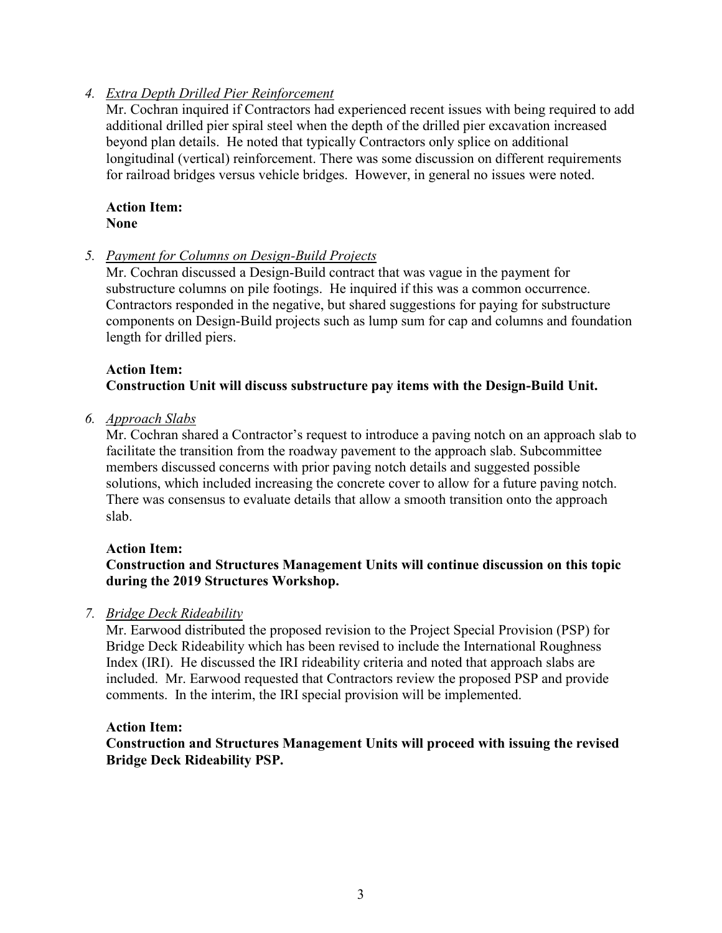### *4. Extra Depth Drilled Pier Reinforcement*

Mr. Cochran inquired if Contractors had experienced recent issues with being required to add additional drilled pier spiral steel when the depth of the drilled pier excavation increased beyond plan details. He noted that typically Contractors only splice on additional longitudinal (vertical) reinforcement. There was some discussion on different requirements for railroad bridges versus vehicle bridges. However, in general no issues were noted.

#### **Action Item: None**

*5. Payment for Columns on Design-Build Projects*

Mr. Cochran discussed a Design-Build contract that was vague in the payment for substructure columns on pile footings. He inquired if this was a common occurrence. Contractors responded in the negative, but shared suggestions for paying for substructure components on Design-Build projects such as lump sum for cap and columns and foundation length for drilled piers.

### **Action Item: Construction Unit will discuss substructure pay items with the Design-Build Unit.**

*6. Approach Slabs*

Mr. Cochran shared a Contractor's request to introduce a paving notch on an approach slab to facilitate the transition from the roadway pavement to the approach slab. Subcommittee members discussed concerns with prior paving notch details and suggested possible solutions, which included increasing the concrete cover to allow for a future paving notch. There was consensus to evaluate details that allow a smooth transition onto the approach slab.

### **Action Item:**

## **Construction and Structures Management Units will continue discussion on this topic during the 2019 Structures Workshop.**

### *7. Bridge Deck Rideability*

Mr. Earwood distributed the proposed revision to the Project Special Provision (PSP) for Bridge Deck Rideability which has been revised to include the International Roughness Index (IRI). He discussed the IRI rideability criteria and noted that approach slabs are included. Mr. Earwood requested that Contractors review the proposed PSP and provide comments. In the interim, the IRI special provision will be implemented.

#### **Action Item:**

**Construction and Structures Management Units will proceed with issuing the revised Bridge Deck Rideability PSP.**